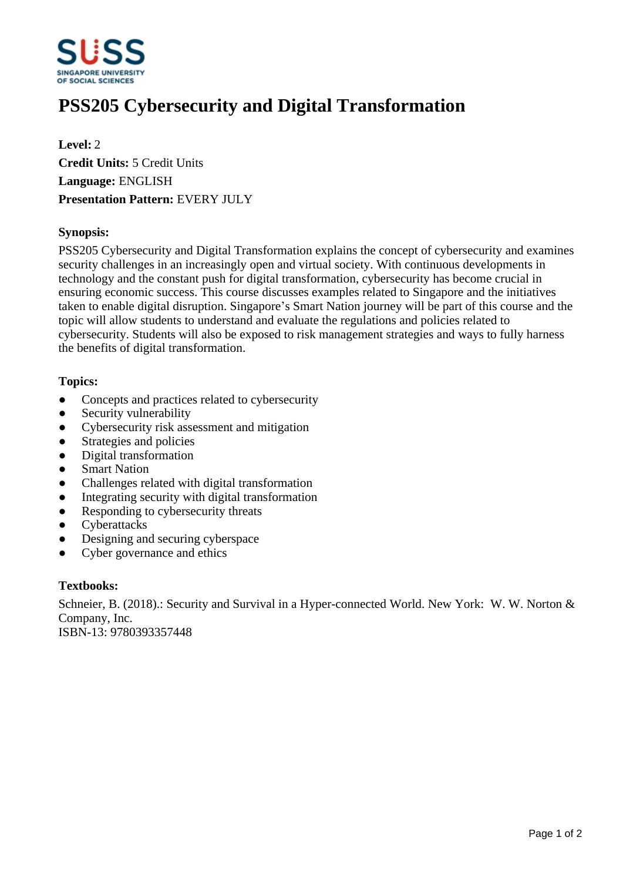

# **PSS205 Cybersecurity and Digital Transformation**

**Level:** 2 **Credit Units:** 5 Credit Units **Language:** ENGLISH **Presentation Pattern:** EVERY JULY

## **Synopsis:**

PSS205 Cybersecurity and Digital Transformation explains the concept of cybersecurity and examines security challenges in an increasingly open and virtual society. With continuous developments in technology and the constant push for digital transformation, cybersecurity has become crucial in ensuring economic success. This course discusses examples related to Singapore and the initiatives taken to enable digital disruption. Singapore's Smart Nation journey will be part of this course and the topic will allow students to understand and evaluate the regulations and policies related to cybersecurity. Students will also be exposed to risk management strategies and ways to fully harness the benefits of digital transformation.

## **Topics:**

- Concepts and practices related to cybersecurity
- Security vulnerability
- Cybersecurity risk assessment and mitigation
- Strategies and policies
- Digital transformation
- Smart Nation
- ƔChallenges related with digital transformation
- Integrating security with digital transformation
- Responding to cybersecurity threats
- Cyberattacks
- Designing and securing cyberspace
- Cyber governance and ethics

#### **Textbooks:**

Schneier, B. (2018).: Security and Survival in a Hyper-connected World. New York: W. W. Norton & Company, Inc. ISBN-13: 9780393357448